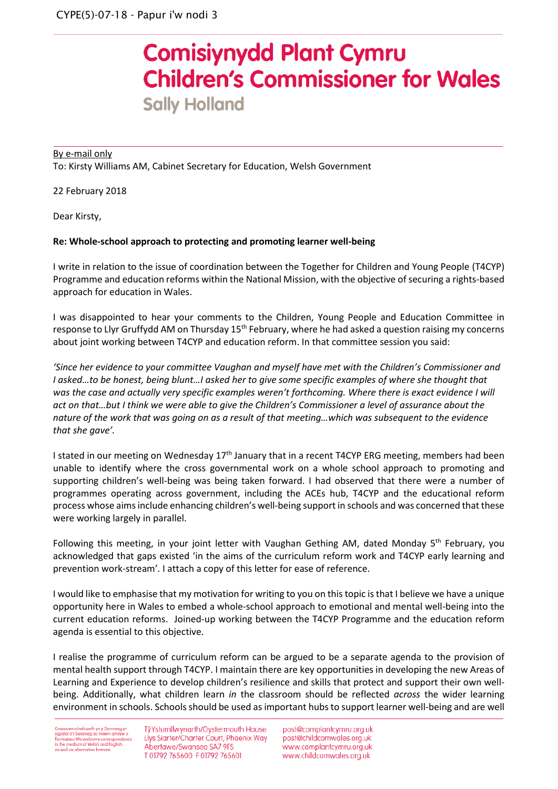## **Comisiynydd Plant Cymru Children's Commissioner for Wales Sally Holland**

## By e-mail only To: Kirsty Williams AM, Cabinet Secretary for Education, Welsh Government

22 February 2018

Dear Kirsty,

## **Re: Whole-school approach to protecting and promoting learner well-being**

I write in relation to the issue of coordination between the Together for Children and Young People (T4CYP) Programme and education reforms within the National Mission, with the objective of securing a rights-based approach for education in Wales.

I was disappointed to hear your comments to the Children, Young People and Education Committee in response to Llyr Gruffydd AM on Thursday 15<sup>th</sup> February, where he had asked a question raising my concerns about joint working between T4CYP and education reform. In that committee session you said:

*'Since her evidence to your committee Vaughan and myself have met with the Children's Commissioner and I asked…to be honest, being blunt…I asked her to give some specific examples of where she thought that was the case and actually very specific examples weren't forthcoming. Where there is exact evidence I will act on that…but I think we were able to give the Children's Commissioner a level of assurance about the nature of the work that was going on as a result of that meeting…which was subsequent to the evidence that she gave'.*

I stated in our meeting on Wednesday 17<sup>th</sup> January that in a recent T4CYP ERG meeting, members had been unable to identify where the cross governmental work on a whole school approach to promoting and supporting children's well-being was being taken forward. I had observed that there were a number of programmes operating across government, including the ACEs hub, T4CYP and the educational reform process whose aims include enhancing children's well-being support in schools and was concerned that these were working largely in parallel.

Following this meeting, in your joint letter with Vaughan Gething AM, dated Monday  $5<sup>th</sup>$  February, you acknowledged that gaps existed 'in the aims of the curriculum reform work and T4CYP early learning and prevention work-stream'*.* I attach a copy of this letter for ease of reference.

I would like to emphasise that my motivation for writing to you on this topic is that I believe we have a unique opportunity here in Wales to embed a whole-school approach to emotional and mental well-being into the current education reforms. Joined-up working between the T4CYP Programme and the education reform agenda is essential to this objective.

I realise the programme of curriculum reform can be argued to be a separate agenda to the provision of mental health support through T4CYP. I maintain there are key opportunities in developing the new Areas of Learning and Experience to develop children's resilience and skills that protect and support their own wellbeing. Additionally, what children learn *in* the classroom should be reflected *across* the wider learning environment in schools. Schools should be used as important hubs to support learner well-being and are well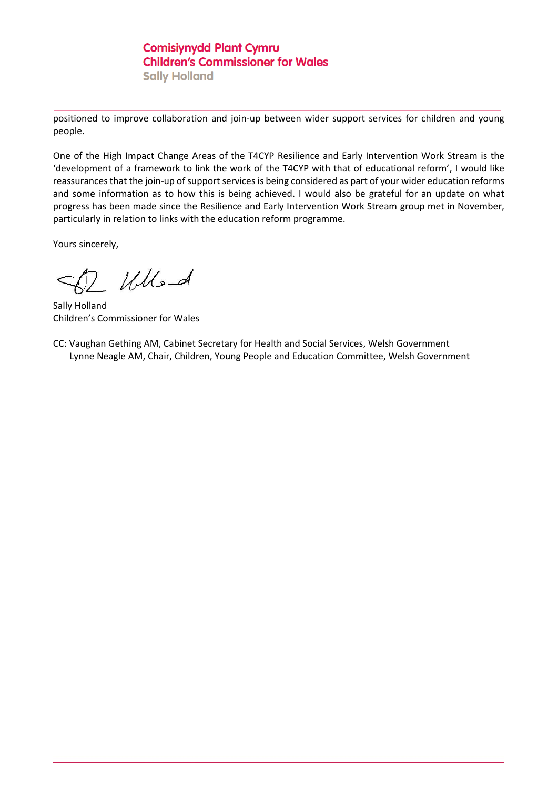## **Comisiynydd Plant Cymru Children's Commissioner for Wales Sally Holland**

positioned to improve collaboration and join-up between wider support services for children and young people.

One of the High Impact Change Areas of the T4CYP Resilience and Early Intervention Work Stream is the 'development of a framework to link the work of the T4CYP with that of educational reform', I would like reassurances that the join-up of support services is being considered as part of your wider education reforms and some information as to how this is being achieved. I would also be grateful for an update on what progress has been made since the Resilience and Early Intervention Work Stream group met in November, particularly in relation to links with the education reform programme.

Yours sincerely,

Whend

Sally Holland Children's Commissioner for Wales

CC: Vaughan Gething AM, Cabinet Secretary for Health and Social Services, Welsh Government Lynne Neagle AM, Chair, Children, Young People and Education Committee, Welsh Government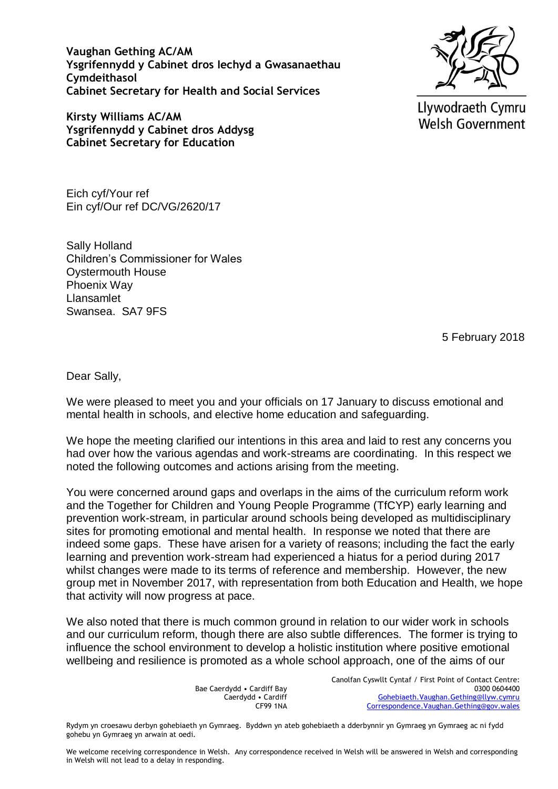**Vaughan Gething AC/AM Ysgrifennydd y Cabinet dros Iechyd a Gwasanaethau Cymdeithasol Cabinet Secretary for Health and Social Services**

**Kirsty Williams AC/AM Ysgrifennydd y Cabinet dros Addysg Cabinet Secretary for Education**

Eich cyf/Your ref Ein cyf/Our ref DC/VG/2620/17

Sally Holland Children's Commissioner for Wales Oystermouth House Phoenix Way Llansamlet Swansea. SA7 9FS

**Welsh Government** 

Llywodraeth Cymru

5 February 2018

Dear Sally,

We were pleased to meet you and your officials on 17 January to discuss emotional and mental health in schools, and elective home education and safeguarding.

We hope the meeting clarified our intentions in this area and laid to rest any concerns you had over how the various agendas and work-streams are coordinating. In this respect we noted the following outcomes and actions arising from the meeting.

You were concerned around gaps and overlaps in the aims of the curriculum reform work and the Together for Children and Young People Programme (TfCYP) early learning and prevention work-stream, in particular around schools being developed as multidisciplinary sites for promoting emotional and mental health. In response we noted that there are indeed some gaps. These have arisen for a variety of reasons; including the fact the early learning and prevention work-stream had experienced a hiatus for a period during 2017 whilst changes were made to its terms of reference and membership. However, the new group met in November 2017, with representation from both Education and Health, we hope that activity will now progress at pace.

We also noted that there is much common ground in relation to our wider work in schools and our curriculum reform, though there are also subtle differences. The former is trying to influence the school environment to develop a holistic institution where positive emotional wellbeing and resilience is promoted as a whole school approach, one of the aims of our

> Bae Caerdydd • Cardiff Bay Caerdydd • Cardiff CF99 1NA

Canolfan Cyswllt Cyntaf / First Point of Contact Centre: 0300 0604400 [Gohebiaeth.Vaughan.Gething@llyw.cymru](mailto:Gohebiaeth.Vaughan.Gething@llyw.cymru) [Correspondence.Vaughan.Gething@gov.wales](mailto:Correspondence.Vaughan.Gething@gov.wales)

Rydym yn croesawu derbyn gohebiaeth yn Gymraeg. Byddwn yn ateb gohebiaeth a dderbynnir yn Gymraeg yn Gymraeg ac ni fydd gohebu yn Gymraeg yn arwain at oedi.

We welcome receiving correspondence in Welsh. Any correspondence received in Welsh will be answered in Welsh and corresponding in Welsh will not lead to a delay in responding.